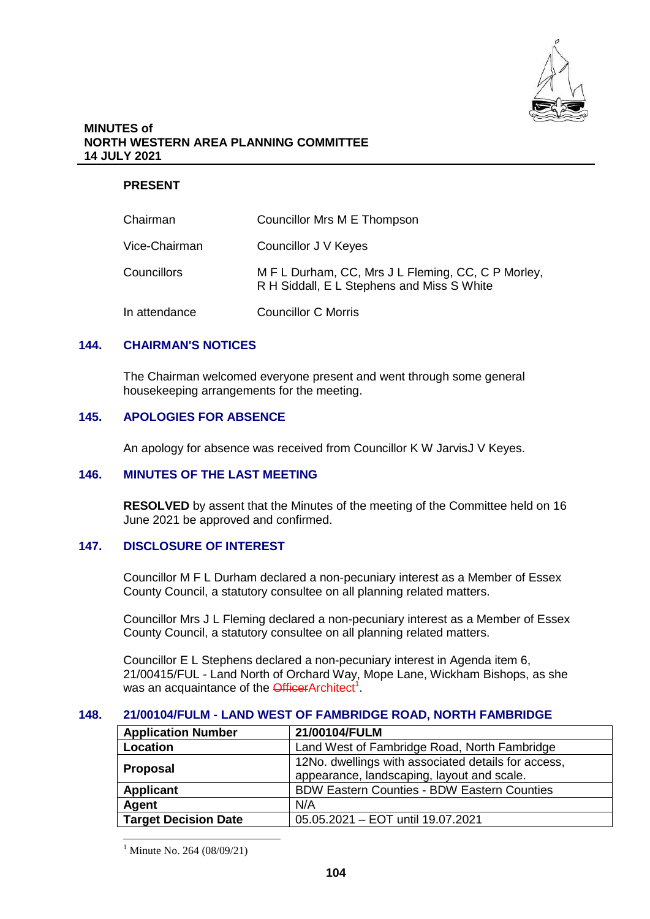

#### **MINUTES of NORTH WESTERN AREA PLANNING COMMITTEE 14 JULY 2021**

# **PRESENT**

| Chairman           | Councillor Mrs M E Thompson                                                                      |
|--------------------|--------------------------------------------------------------------------------------------------|
| Vice-Chairman      | Councillor J V Keyes                                                                             |
| <b>Councillors</b> | M F L Durham, CC, Mrs J L Fleming, CC, C P Morley,<br>R H Siddall, E L Stephens and Miss S White |
| In attendance      | <b>Councillor C Morris</b>                                                                       |

## **144. CHAIRMAN'S NOTICES**

The Chairman welcomed everyone present and went through some general housekeeping arrangements for the meeting.

## **145. APOLOGIES FOR ABSENCE**

An apology for absence was received from Councillor K W JarvisJ V Keyes.

# **146. MINUTES OF THE LAST MEETING**

**RESOLVED** by assent that the Minutes of the meeting of the Committee held on 16 June 2021 be approved and confirmed.

## **147. DISCLOSURE OF INTEREST**

Councillor M F L Durham declared a non-pecuniary interest as a Member of Essex County Council, a statutory consultee on all planning related matters.

Councillor Mrs J L Fleming declared a non-pecuniary interest as a Member of Essex County Council, a statutory consultee on all planning related matters.

Councillor E L Stephens declared a non-pecuniary interest in Agenda item 6, 21/00415/FUL - Land North of Orchard Way, Mope Lane, Wickham Bishops, as she was an acquaintance of the **Officer**Architect<sup>1</sup>.

## **148. 21/00104/FULM - LAND WEST OF FAMBRIDGE ROAD, NORTH FAMBRIDGE**

| <b>Application Number</b>   | 21/00104/FULM                                       |
|-----------------------------|-----------------------------------------------------|
| Location                    | Land West of Fambridge Road, North Fambridge        |
| Proposal                    | 12No. dwellings with associated details for access, |
|                             | appearance, landscaping, layout and scale.          |
| <b>Applicant</b>            | <b>BDW Eastern Counties - BDW Eastern Counties</b>  |
| Agent                       | N/A                                                 |
| <b>Target Decision Date</b> | 05.05.2021 - EOT until 19.07.2021                   |

 $^{1}$  Minute No. 264 (08/09/21)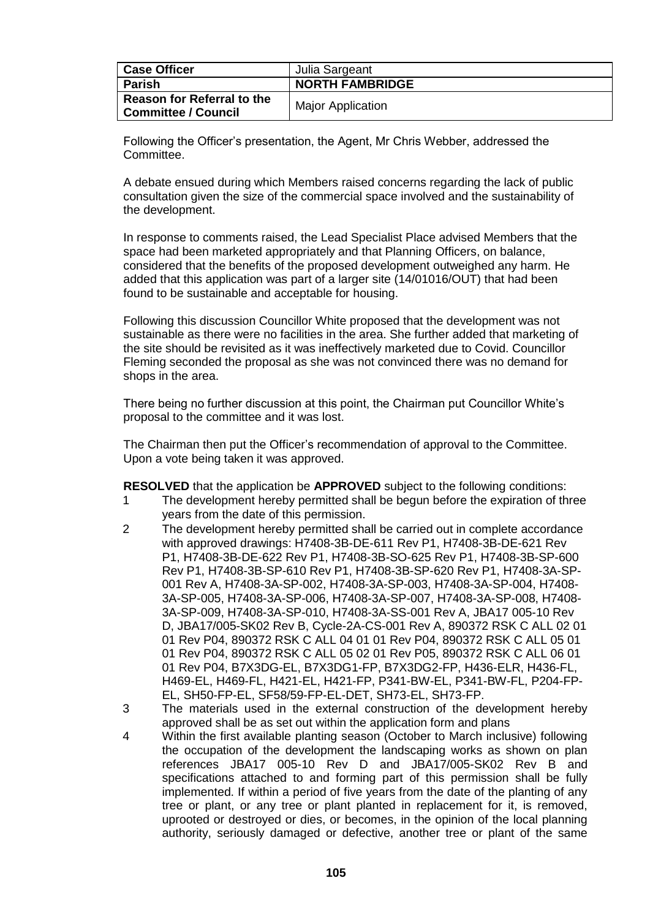| <b>Case Officer</b>                                      | Julia Sargeant           |
|----------------------------------------------------------|--------------------------|
| <b>Parish</b>                                            | <b>NORTH FAMBRIDGE</b>   |
| Reason for Referral to the<br><b>Committee / Council</b> | <b>Major Application</b> |

Following the Officer's presentation, the Agent, Mr Chris Webber, addressed the Committee.

A debate ensued during which Members raised concerns regarding the lack of public consultation given the size of the commercial space involved and the sustainability of the development.

In response to comments raised, the Lead Specialist Place advised Members that the space had been marketed appropriately and that Planning Officers, on balance, considered that the benefits of the proposed development outweighed any harm. He added that this application was part of a larger site (14/01016/OUT) that had been found to be sustainable and acceptable for housing.

Following this discussion Councillor White proposed that the development was not sustainable as there were no facilities in the area. She further added that marketing of the site should be revisited as it was ineffectively marketed due to Covid. Councillor Fleming seconded the proposal as she was not convinced there was no demand for shops in the area.

There being no further discussion at this point, the Chairman put Councillor White's proposal to the committee and it was lost.

The Chairman then put the Officer's recommendation of approval to the Committee. Upon a vote being taken it was approved.

**RESOLVED** that the application be **APPROVED** subject to the following conditions:

- 1 The development hereby permitted shall be begun before the expiration of three years from the date of this permission.
- 2 The development hereby permitted shall be carried out in complete accordance with approved drawings: H7408-3B-DE-611 Rev P1, H7408-3B-DE-621 Rev P1, H7408-3B-DE-622 Rev P1, H7408-3B-SO-625 Rev P1, H7408-3B-SP-600 Rev P1, H7408-3B-SP-610 Rev P1, H7408-3B-SP-620 Rev P1, H7408-3A-SP-001 Rev A, H7408-3A-SP-002, H7408-3A-SP-003, H7408-3A-SP-004, H7408- 3A-SP-005, H7408-3A-SP-006, H7408-3A-SP-007, H7408-3A-SP-008, H7408- 3A-SP-009, H7408-3A-SP-010, H7408-3A-SS-001 Rev A, JBA17 005-10 Rev D, JBA17/005-SK02 Rev B, Cycle-2A-CS-001 Rev A, 890372 RSK C ALL 02 01 01 Rev P04, 890372 RSK C ALL 04 01 01 Rev P04, 890372 RSK C ALL 05 01 01 Rev P04, 890372 RSK C ALL 05 02 01 Rev P05, 890372 RSK C ALL 06 01 01 Rev P04, B7X3DG-EL, B7X3DG1-FP, B7X3DG2-FP, H436-ELR, H436-FL, H469-EL, H469-FL, H421-EL, H421-FP, P341-BW-EL, P341-BW-FL, P204-FP-EL, SH50-FP-EL, SF58/59-FP-EL-DET, SH73-EL, SH73-FP.
- 3 The materials used in the external construction of the development hereby approved shall be as set out within the application form and plans
- 4 Within the first available planting season (October to March inclusive) following the occupation of the development the landscaping works as shown on plan references JBA17 005-10 Rev D and JBA17/005-SK02 Rev B and specifications attached to and forming part of this permission shall be fully implemented. If within a period of five years from the date of the planting of any tree or plant, or any tree or plant planted in replacement for it, is removed, uprooted or destroyed or dies, or becomes, in the opinion of the local planning authority, seriously damaged or defective, another tree or plant of the same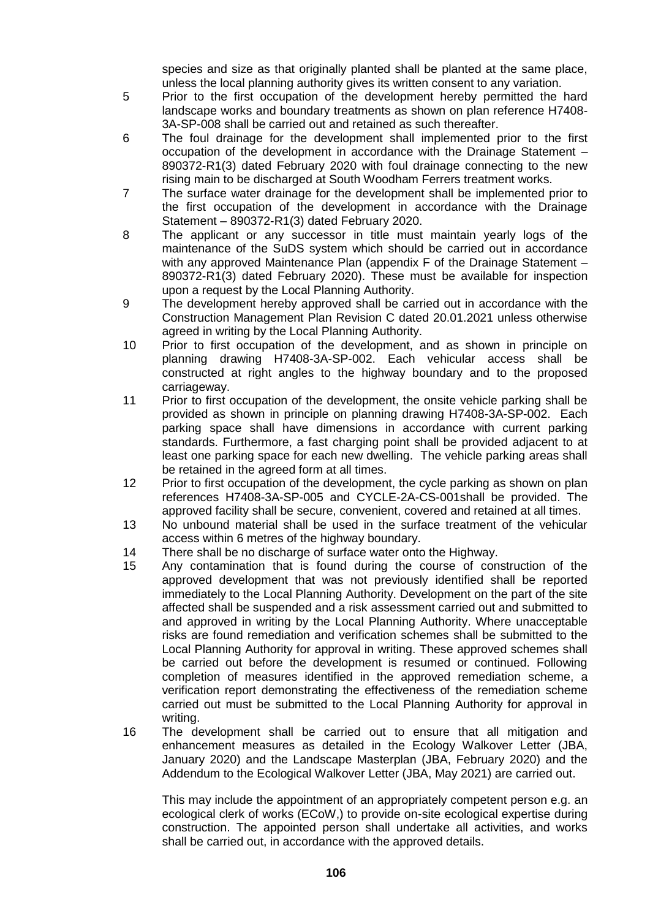species and size as that originally planted shall be planted at the same place. unless the local planning authority gives its written consent to any variation.

- 5 Prior to the first occupation of the development hereby permitted the hard landscape works and boundary treatments as shown on plan reference H7408- 3A-SP-008 shall be carried out and retained as such thereafter.
- 6 The foul drainage for the development shall implemented prior to the first occupation of the development in accordance with the Drainage Statement – 890372-R1(3) dated February 2020 with foul drainage connecting to the new rising main to be discharged at South Woodham Ferrers treatment works.
- 7 The surface water drainage for the development shall be implemented prior to the first occupation of the development in accordance with the Drainage Statement – 890372-R1(3) dated February 2020.
- 8 The applicant or any successor in title must maintain yearly logs of the maintenance of the SuDS system which should be carried out in accordance with any approved Maintenance Plan (appendix F of the Drainage Statement – 890372-R1(3) dated February 2020). These must be available for inspection upon a request by the Local Planning Authority.
- 9 The development hereby approved shall be carried out in accordance with the Construction Management Plan Revision C dated 20.01.2021 unless otherwise agreed in writing by the Local Planning Authority.
- 10 Prior to first occupation of the development, and as shown in principle on planning drawing H7408-3A-SP-002. Each vehicular access shall be constructed at right angles to the highway boundary and to the proposed carriageway.
- 11 Prior to first occupation of the development, the onsite vehicle parking shall be provided as shown in principle on planning drawing H7408-3A-SP-002. Each parking space shall have dimensions in accordance with current parking standards. Furthermore, a fast charging point shall be provided adjacent to at least one parking space for each new dwelling. The vehicle parking areas shall be retained in the agreed form at all times.
- 12 Prior to first occupation of the development, the cycle parking as shown on plan references H7408-3A-SP-005 and CYCLE-2A-CS-001shall be provided. The approved facility shall be secure, convenient, covered and retained at all times.
- 13 No unbound material shall be used in the surface treatment of the vehicular access within 6 metres of the highway boundary.
- 14 There shall be no discharge of surface water onto the Highway.
- 15 Any contamination that is found during the course of construction of the approved development that was not previously identified shall be reported immediately to the Local Planning Authority. Development on the part of the site affected shall be suspended and a risk assessment carried out and submitted to and approved in writing by the Local Planning Authority. Where unacceptable risks are found remediation and verification schemes shall be submitted to the Local Planning Authority for approval in writing. These approved schemes shall be carried out before the development is resumed or continued. Following completion of measures identified in the approved remediation scheme, a verification report demonstrating the effectiveness of the remediation scheme carried out must be submitted to the Local Planning Authority for approval in writing.
- 16 The development shall be carried out to ensure that all mitigation and enhancement measures as detailed in the Ecology Walkover Letter (JBA, January 2020) and the Landscape Masterplan (JBA, February 2020) and the Addendum to the Ecological Walkover Letter (JBA, May 2021) are carried out.

This may include the appointment of an appropriately competent person e.g. an ecological clerk of works (ECoW,) to provide on-site ecological expertise during construction. The appointed person shall undertake all activities, and works shall be carried out, in accordance with the approved details.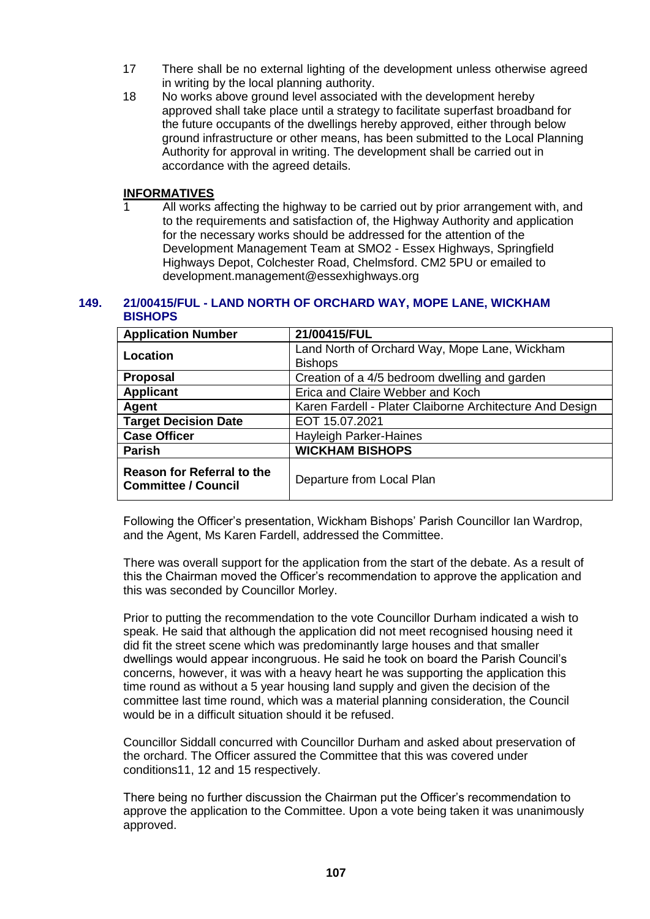- 17 There shall be no external lighting of the development unless otherwise agreed in writing by the local planning authority.
- 18 No works above ground level associated with the development hereby approved shall take place until a strategy to facilitate superfast broadband for the future occupants of the dwellings hereby approved, either through below ground infrastructure or other means, has been submitted to the Local Planning Authority for approval in writing. The development shall be carried out in accordance with the agreed details.

#### **INFORMATIVES**

All works affecting the highway to be carried out by prior arrangement with, and to the requirements and satisfaction of, the Highway Authority and application for the necessary works should be addressed for the attention of the Development Management Team at SMO2 - Essex Highways, Springfield Highways Depot, Colchester Road, Chelmsford. CM2 5PU or emailed to development.management@essexhighways.org

#### **149. 21/00415/FUL - LAND NORTH OF ORCHARD WAY, MOPE LANE, WICKHAM BISHOPS**

| <b>Application Number</b>                                       | 21/00415/FUL                                                    |
|-----------------------------------------------------------------|-----------------------------------------------------------------|
| Location                                                        | Land North of Orchard Way, Mope Lane, Wickham<br><b>Bishops</b> |
| <b>Proposal</b>                                                 | Creation of a 4/5 bedroom dwelling and garden                   |
| <b>Applicant</b>                                                | Erica and Claire Webber and Koch                                |
| Agent                                                           | Karen Fardell - Plater Claiborne Architecture And Design        |
| <b>Target Decision Date</b>                                     | EOT 15.07.2021                                                  |
| <b>Case Officer</b>                                             | <b>Hayleigh Parker-Haines</b>                                   |
| Parish                                                          | <b>WICKHAM BISHOPS</b>                                          |
| <b>Reason for Referral to the</b><br><b>Committee / Council</b> | Departure from Local Plan                                       |

Following the Officer's presentation, Wickham Bishops' Parish Councillor Ian Wardrop, and the Agent, Ms Karen Fardell, addressed the Committee.

There was overall support for the application from the start of the debate. As a result of this the Chairman moved the Officer's recommendation to approve the application and this was seconded by Councillor Morley.

Prior to putting the recommendation to the vote Councillor Durham indicated a wish to speak. He said that although the application did not meet recognised housing need it did fit the street scene which was predominantly large houses and that smaller dwellings would appear incongruous. He said he took on board the Parish Council's concerns, however, it was with a heavy heart he was supporting the application this time round as without a 5 year housing land supply and given the decision of the committee last time round, which was a material planning consideration, the Council would be in a difficult situation should it be refused.

Councillor Siddall concurred with Councillor Durham and asked about preservation of the orchard. The Officer assured the Committee that this was covered under conditions11, 12 and 15 respectively.

There being no further discussion the Chairman put the Officer's recommendation to approve the application to the Committee. Upon a vote being taken it was unanimously approved.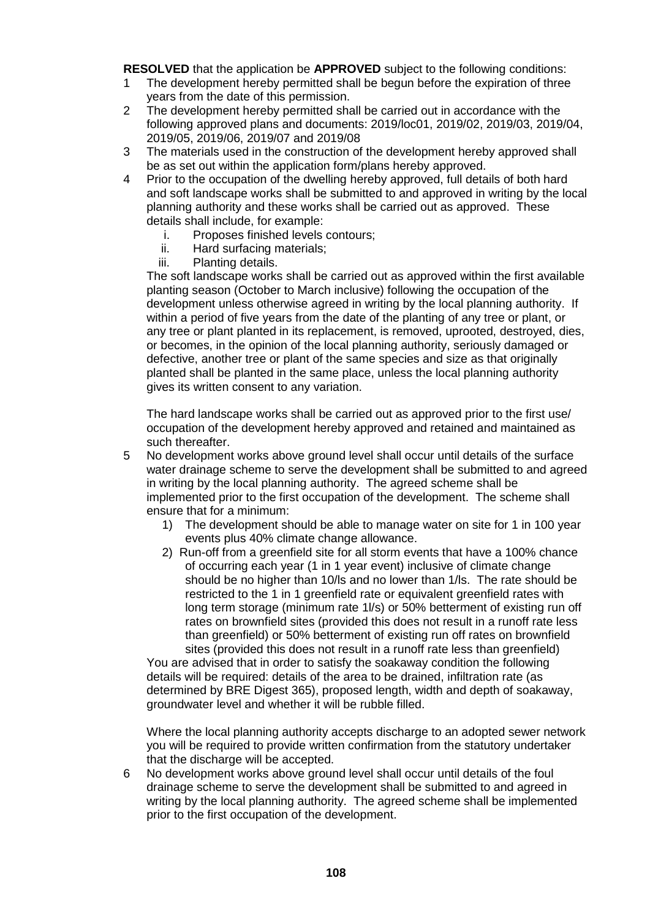**RESOLVED** that the application be **APPROVED** subject to the following conditions:

- 1 The development hereby permitted shall be begun before the expiration of three years from the date of this permission.
- 2 The development hereby permitted shall be carried out in accordance with the following approved plans and documents: 2019/loc01, 2019/02, 2019/03, 2019/04, 2019/05, 2019/06, 2019/07 and 2019/08
- 3 The materials used in the construction of the development hereby approved shall be as set out within the application form/plans hereby approved.
- 4 Prior to the occupation of the dwelling hereby approved, full details of both hard and soft landscape works shall be submitted to and approved in writing by the local planning authority and these works shall be carried out as approved. These details shall include, for example:
	- i. Proposes finished levels contours;
	- ii. Hard surfacing materials;
	- iii. Planting details.

The soft landscape works shall be carried out as approved within the first available planting season (October to March inclusive) following the occupation of the development unless otherwise agreed in writing by the local planning authority. If within a period of five years from the date of the planting of any tree or plant, or any tree or plant planted in its replacement, is removed, uprooted, destroyed, dies, or becomes, in the opinion of the local planning authority, seriously damaged or defective, another tree or plant of the same species and size as that originally planted shall be planted in the same place, unless the local planning authority gives its written consent to any variation.

The hard landscape works shall be carried out as approved prior to the first use/ occupation of the development hereby approved and retained and maintained as such thereafter.

- 5 No development works above ground level shall occur until details of the surface water drainage scheme to serve the development shall be submitted to and agreed in writing by the local planning authority. The agreed scheme shall be implemented prior to the first occupation of the development. The scheme shall ensure that for a minimum:
	- 1) The development should be able to manage water on site for 1 in 100 year events plus 40% climate change allowance.
	- 2) Run-off from a greenfield site for all storm events that have a 100% chance of occurring each year (1 in 1 year event) inclusive of climate change should be no higher than 10/ls and no lower than 1/ls. The rate should be restricted to the 1 in 1 greenfield rate or equivalent greenfield rates with long term storage (minimum rate 1l/s) or 50% betterment of existing run off rates on brownfield sites (provided this does not result in a runoff rate less than greenfield) or 50% betterment of existing run off rates on brownfield sites (provided this does not result in a runoff rate less than greenfield)

You are advised that in order to satisfy the soakaway condition the following details will be required: details of the area to be drained, infiltration rate (as determined by BRE Digest 365), proposed length, width and depth of soakaway, groundwater level and whether it will be rubble filled.

Where the local planning authority accepts discharge to an adopted sewer network you will be required to provide written confirmation from the statutory undertaker that the discharge will be accepted.

6 No development works above ground level shall occur until details of the foul drainage scheme to serve the development shall be submitted to and agreed in writing by the local planning authority. The agreed scheme shall be implemented prior to the first occupation of the development.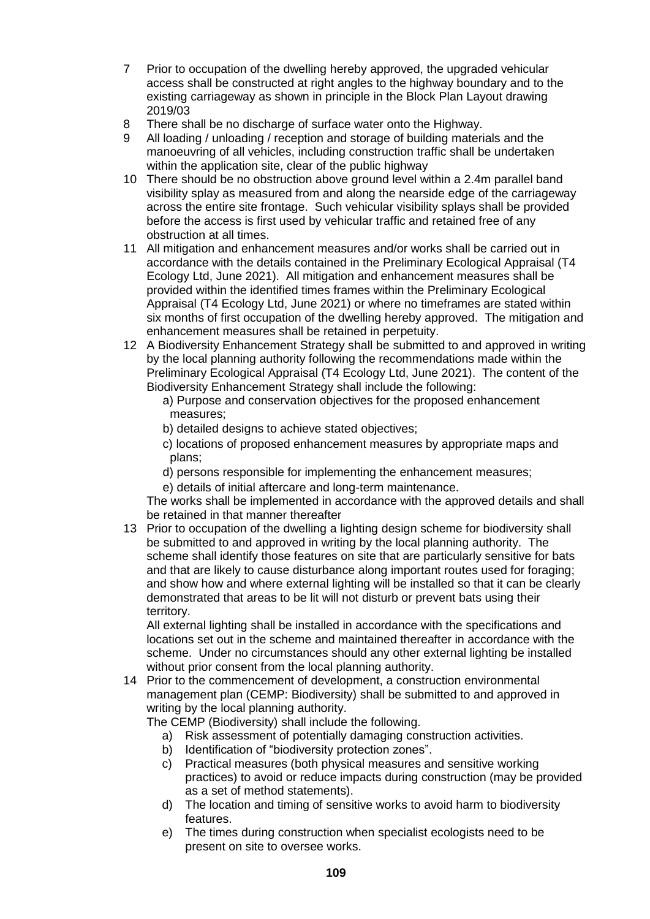- 7 Prior to occupation of the dwelling hereby approved, the upgraded vehicular access shall be constructed at right angles to the highway boundary and to the existing carriageway as shown in principle in the Block Plan Layout drawing 2019/03
- 8 There shall be no discharge of surface water onto the Highway.
- 9 All loading / unloading / reception and storage of building materials and the manoeuvring of all vehicles, including construction traffic shall be undertaken within the application site, clear of the public highway
- 10 There should be no obstruction above ground level within a 2.4m parallel band visibility splay as measured from and along the nearside edge of the carriageway across the entire site frontage. Such vehicular visibility splays shall be provided before the access is first used by vehicular traffic and retained free of any obstruction at all times.
- 11 All mitigation and enhancement measures and/or works shall be carried out in accordance with the details contained in the Preliminary Ecological Appraisal (T4 Ecology Ltd, June 2021). All mitigation and enhancement measures shall be provided within the identified times frames within the Preliminary Ecological Appraisal (T4 Ecology Ltd, June 2021) or where no timeframes are stated within six months of first occupation of the dwelling hereby approved. The mitigation and enhancement measures shall be retained in perpetuity.
- 12 A Biodiversity Enhancement Strategy shall be submitted to and approved in writing by the local planning authority following the recommendations made within the Preliminary Ecological Appraisal (T4 Ecology Ltd, June 2021). The content of the Biodiversity Enhancement Strategy shall include the following:
	- a) Purpose and conservation objectives for the proposed enhancement measures;
	- b) detailed designs to achieve stated objectives;
	- c) locations of proposed enhancement measures by appropriate maps and plans;
	- d) persons responsible for implementing the enhancement measures;
	- e) details of initial aftercare and long-term maintenance.

The works shall be implemented in accordance with the approved details and shall be retained in that manner thereafter

13 Prior to occupation of the dwelling a lighting design scheme for biodiversity shall be submitted to and approved in writing by the local planning authority. The scheme shall identify those features on site that are particularly sensitive for bats and that are likely to cause disturbance along important routes used for foraging; and show how and where external lighting will be installed so that it can be clearly demonstrated that areas to be lit will not disturb or prevent bats using their territory.

All external lighting shall be installed in accordance with the specifications and locations set out in the scheme and maintained thereafter in accordance with the scheme. Under no circumstances should any other external lighting be installed without prior consent from the local planning authority.

14 Prior to the commencement of development, a construction environmental management plan (CEMP: Biodiversity) shall be submitted to and approved in writing by the local planning authority.

The CEMP (Biodiversity) shall include the following.

- a) Risk assessment of potentially damaging construction activities.
- b) Identification of "biodiversity protection zones".
- c) Practical measures (both physical measures and sensitive working practices) to avoid or reduce impacts during construction (may be provided as a set of method statements).
- d) The location and timing of sensitive works to avoid harm to biodiversity features.
- e) The times during construction when specialist ecologists need to be present on site to oversee works.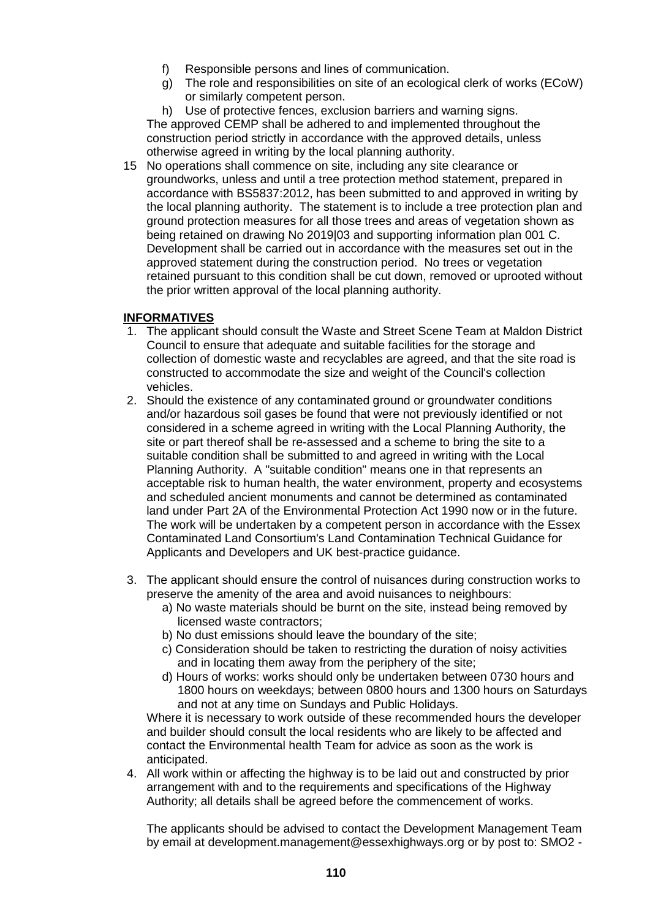- f) Responsible persons and lines of communication.
- g) The role and responsibilities on site of an ecological clerk of works (ECoW) or similarly competent person.

h) Use of protective fences, exclusion barriers and warning signs. The approved CEMP shall be adhered to and implemented throughout the construction period strictly in accordance with the approved details, unless otherwise agreed in writing by the local planning authority.

15 No operations shall commence on site, including any site clearance or groundworks, unless and until a tree protection method statement, prepared in accordance with BS5837:2012, has been submitted to and approved in writing by the local planning authority. The statement is to include a tree protection plan and ground protection measures for all those trees and areas of vegetation shown as being retained on drawing No 2019|03 and supporting information plan 001 C. Development shall be carried out in accordance with the measures set out in the approved statement during the construction period. No trees or vegetation retained pursuant to this condition shall be cut down, removed or uprooted without the prior written approval of the local planning authority.

## **INFORMATIVES**

- 1. The applicant should consult the Waste and Street Scene Team at Maldon District Council to ensure that adequate and suitable facilities for the storage and collection of domestic waste and recyclables are agreed, and that the site road is constructed to accommodate the size and weight of the Council's collection vehicles.
- 2. Should the existence of any contaminated ground or groundwater conditions and/or hazardous soil gases be found that were not previously identified or not considered in a scheme agreed in writing with the Local Planning Authority, the site or part thereof shall be re-assessed and a scheme to bring the site to a suitable condition shall be submitted to and agreed in writing with the Local Planning Authority. A "suitable condition" means one in that represents an acceptable risk to human health, the water environment, property and ecosystems and scheduled ancient monuments and cannot be determined as contaminated land under Part 2A of the Environmental Protection Act 1990 now or in the future. The work will be undertaken by a competent person in accordance with the Essex Contaminated Land Consortium's Land Contamination Technical Guidance for Applicants and Developers and UK best-practice guidance.
- 3. The applicant should ensure the control of nuisances during construction works to preserve the amenity of the area and avoid nuisances to neighbours:
	- a) No waste materials should be burnt on the site, instead being removed by licensed waste contractors;
	- b) No dust emissions should leave the boundary of the site;
	- c) Consideration should be taken to restricting the duration of noisy activities and in locating them away from the periphery of the site;
	- d) Hours of works: works should only be undertaken between 0730 hours and 1800 hours on weekdays; between 0800 hours and 1300 hours on Saturdays and not at any time on Sundays and Public Holidays.

Where it is necessary to work outside of these recommended hours the developer and builder should consult the local residents who are likely to be affected and contact the Environmental health Team for advice as soon as the work is anticipated.

4. All work within or affecting the highway is to be laid out and constructed by prior arrangement with and to the requirements and specifications of the Highway Authority; all details shall be agreed before the commencement of works.

The applicants should be advised to contact the Development Management Team by email at development.management@essexhighways.org or by post to: SMO2 -